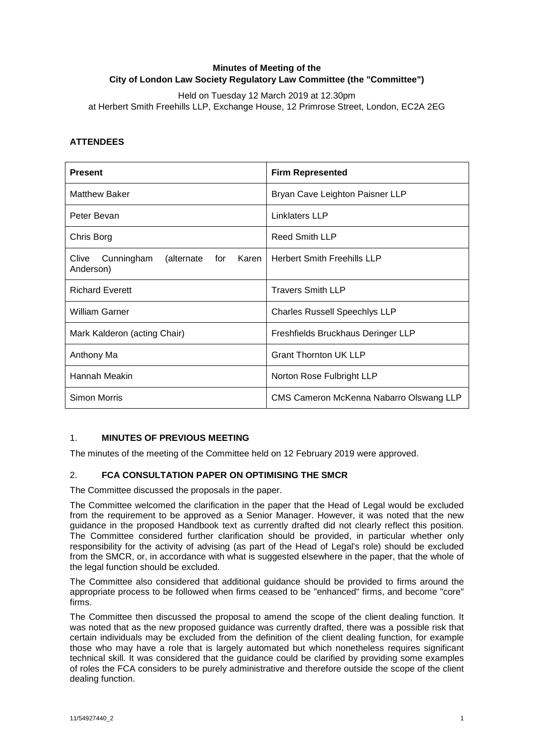## **Minutes of Meeting of the City of London Law Society Regulatory Law Committee (the "Committee")**

Held on Tuesday 12 March 2019 at 12.30pm at Herbert Smith Freehills LLP, Exchange House, 12 Primrose Street, London, EC2A 2EG

## **ATTENDEES**

| <b>Present</b>                                           | <b>Firm Represented</b>                 |
|----------------------------------------------------------|-----------------------------------------|
| <b>Matthew Baker</b>                                     | Bryan Cave Leighton Paisner LLP         |
| Peter Bevan                                              | <b>Linklaters LLP</b>                   |
| Chris Borg                                               | <b>Reed Smith LLP</b>                   |
| Clive Cunningham<br>(alternate<br>for Karen<br>Anderson) | <b>Herbert Smith Freehills LLP</b>      |
| <b>Richard Everett</b>                                   | <b>Travers Smith LLP</b>                |
| <b>William Garner</b>                                    | <b>Charles Russell Speechlys LLP</b>    |
| Mark Kalderon (acting Chair)                             | Freshfields Bruckhaus Deringer LLP      |
| Anthony Ma                                               | <b>Grant Thornton UK LLP</b>            |
| Hannah Meakin                                            | Norton Rose Fulbright LLP               |
| <b>Simon Morris</b>                                      | CMS Cameron McKenna Nabarro Olswang LLP |

### 1. **MINUTES OF PREVIOUS MEETING**

The minutes of the meeting of the Committee held on 12 February 2019 were approved.

### 2. **FCA CONSULTATION PAPER ON OPTIMISING THE SMCR**

The Committee discussed the proposals in the paper.

The Committee welcomed the clarification in the paper that the Head of Legal would be excluded from the requirement to be approved as a Senior Manager. However, it was noted that the new guidance in the proposed Handbook text as currently drafted did not clearly reflect this position. The Committee considered further clarification should be provided, in particular whether only responsibility for the activity of advising (as part of the Head of Legal's role) should be excluded from the SMCR, or, in accordance with what is suggested elsewhere in the paper, that the whole of the legal function should be excluded.

The Committee also considered that additional guidance should be provided to firms around the appropriate process to be followed when firms ceased to be "enhanced" firms, and become "core" firms.

The Committee then discussed the proposal to amend the scope of the client dealing function. It was noted that as the new proposed guidance was currently drafted, there was a possible risk that certain individuals may be excluded from the definition of the client dealing function, for example those who may have a role that is largely automated but which nonetheless requires significant technical skill. It was considered that the guidance could be clarified by providing some examples of roles the FCA considers to be purely administrative and therefore outside the scope of the client dealing function.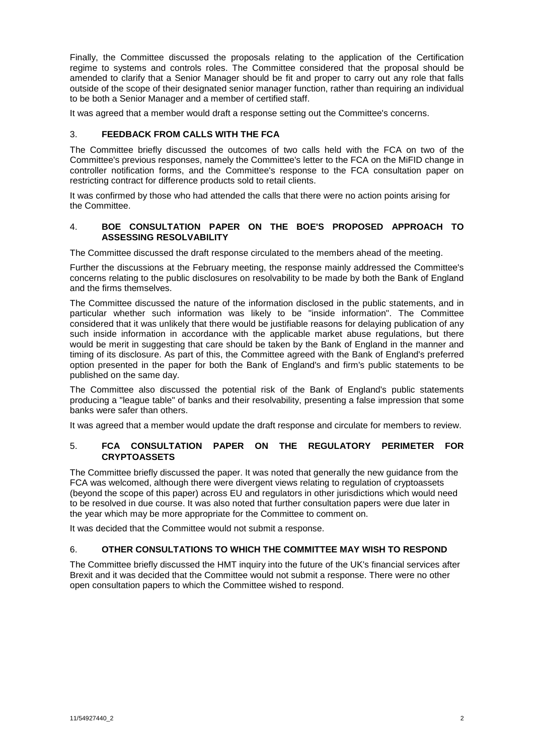Finally, the Committee discussed the proposals relating to the application of the Certification regime to systems and controls roles. The Committee considered that the proposal should be amended to clarify that a Senior Manager should be fit and proper to carry out any role that falls outside of the scope of their designated senior manager function, rather than requiring an individual to be both a Senior Manager and a member of certified staff.

It was agreed that a member would draft a response setting out the Committee's concerns.

#### 3. **FEEDBACK FROM CALLS WITH THE FCA**

The Committee briefly discussed the outcomes of two calls held with the FCA on two of the Committee's previous responses, namely the Committee's letter to the FCA on the MiFID change in controller notification forms, and the Committee's response to the FCA consultation paper on restricting contract for difference products sold to retail clients.

It was confirmed by those who had attended the calls that there were no action points arising for the Committee.

#### 4. **BOE CONSULTATION PAPER ON THE BOE'S PROPOSED APPROACH TO ASSESSING RESOLVABILITY**

The Committee discussed the draft response circulated to the members ahead of the meeting.

Further the discussions at the February meeting, the response mainly addressed the Committee's concerns relating to the public disclosures on resolvability to be made by both the Bank of England and the firms themselves.

The Committee discussed the nature of the information disclosed in the public statements, and in particular whether such information was likely to be "inside information". The Committee considered that it was unlikely that there would be justifiable reasons for delaying publication of any such inside information in accordance with the applicable market abuse regulations, but there would be merit in suggesting that care should be taken by the Bank of England in the manner and timing of its disclosure. As part of this, the Committee agreed with the Bank of England's preferred option presented in the paper for both the Bank of England's and firm's public statements to be published on the same day.

The Committee also discussed the potential risk of the Bank of England's public statements producing a "league table" of banks and their resolvability, presenting a false impression that some banks were safer than others.

It was agreed that a member would update the draft response and circulate for members to review.

### 5. **FCA CONSULTATION PAPER ON THE REGULATORY PERIMETER FOR CRYPTOASSETS**

The Committee briefly discussed the paper. It was noted that generally the new guidance from the FCA was welcomed, although there were divergent views relating to regulation of cryptoassets (beyond the scope of this paper) across EU and regulators in other jurisdictions which would need to be resolved in due course. It was also noted that further consultation papers were due later in the year which may be more appropriate for the Committee to comment on.

It was decided that the Committee would not submit a response.

### 6. **OTHER CONSULTATIONS TO WHICH THE COMMITTEE MAY WISH TO RESPOND**

The Committee briefly discussed the HMT inquiry into the future of the UK's financial services after Brexit and it was decided that the Committee would not submit a response. There were no other open consultation papers to which the Committee wished to respond.